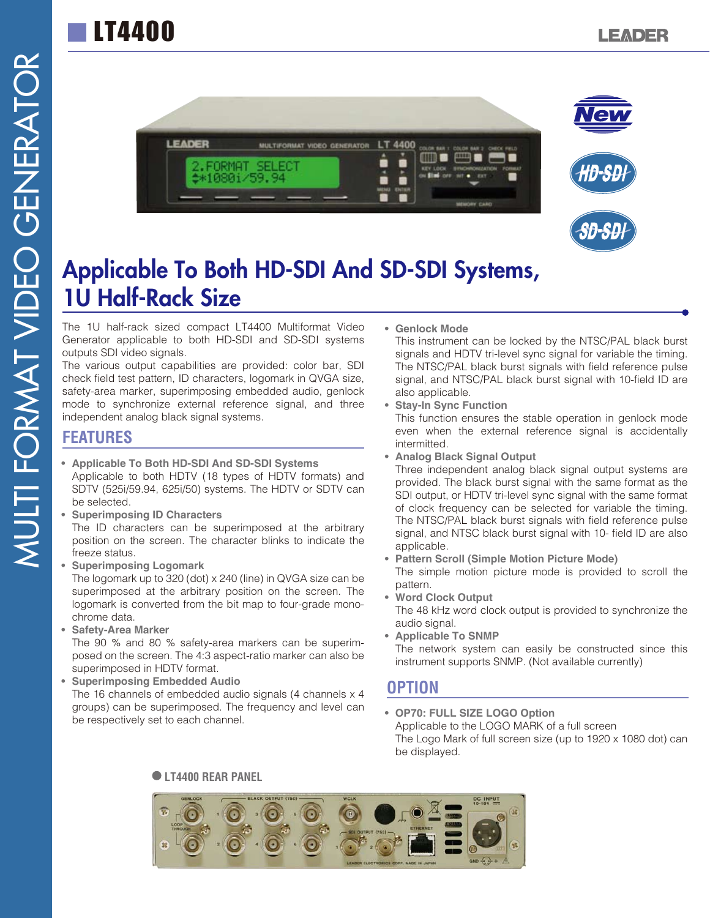# LT4400



## Applicable To Both HD-SDI And SD-SDI Systems, 1U Half-Rack Size

The 1U half-rack sized compact LT4400 Multiformat Video Generator applicable to both HD-SDI and SD-SDI systems outputs SDI video signals.

The various output capabilities are provided: color bar, SDI check field test pattern, ID characters, logomark in QVGA size, safety-area marker, superimposing embedded audio, genlock mode to synchronize external reference signal, and three independent analog black signal systems.

#### **FEATURES**

- **Applicable To Both HD-SDI And SD-SDI Systems** Applicable to both HDTV (18 types of HDTV formats) and SDTV (525i/59.94, 625i/50) systems. The HDTV or SDTV can be selected.
- **Superimposing ID Characters**

The ID characters can be superimposed at the arbitrary position on the screen. The character blinks to indicate the freeze status.

- **Superimposing Logomark** The logomark up to 320 (dot) x 240 (line) in QVGA size can be superimposed at the arbitrary position on the screen. The logomark is converted from the bit map to four-grade monochrome data.
- **Safety-Area Marker** The 90 % and 80 % safety-area markers can be superimposed on the screen. The 4:3 aspect-ratio marker can also be superimposed in HDTV format.
- **Superimposing Embedded Audio** The 16 channels of embedded audio signals (4 channels x 4 groups) can be superimposed. The frequency and level can be respectively set to each channel.

**• Genlock Mode**

This instrument can be locked by the NTSC/PAL black burst signals and HDTV tri-level sync signal for variable the timing. The NTSC/PAL black burst signals with field reference pulse signal, and NTSC/PAL black burst signal with 10-field ID are also applicable.

- **Stay-In Sync Function** This function ensures the stable operation in genlock mode even when the external reference signal is accidentally intermitted.
- **Analog Black Signal Output**

Three independent analog black signal output systems are provided. The black burst signal with the same format as the SDI output, or HDTV tri-level sync signal with the same format of clock frequency can be selected for variable the timing. The NTSC/PAL black burst signals with field reference pulse signal, and NTSC black burst signal with 10- field ID are also applicable.

- **Pattern Scroll (Simple Motion Picture Mode)** The simple motion picture mode is provided to scroll the pattern.
- **Word Clock Output** The 48 kHz word clock output is provided to synchronize the audio signal.
- **Applicable To SNMP** The network system can easily be constructed since this instrument supports SNMP. (Not available currently)

#### **OPTION**

**• OP70: FULL SIZE LOGO Option** Applicable to the LOGO MARK of a full screen The Logo Mark of full screen size (up to 1920 x 1080 dot) can be displayed.

#### **LT4400 REAR PANEL**